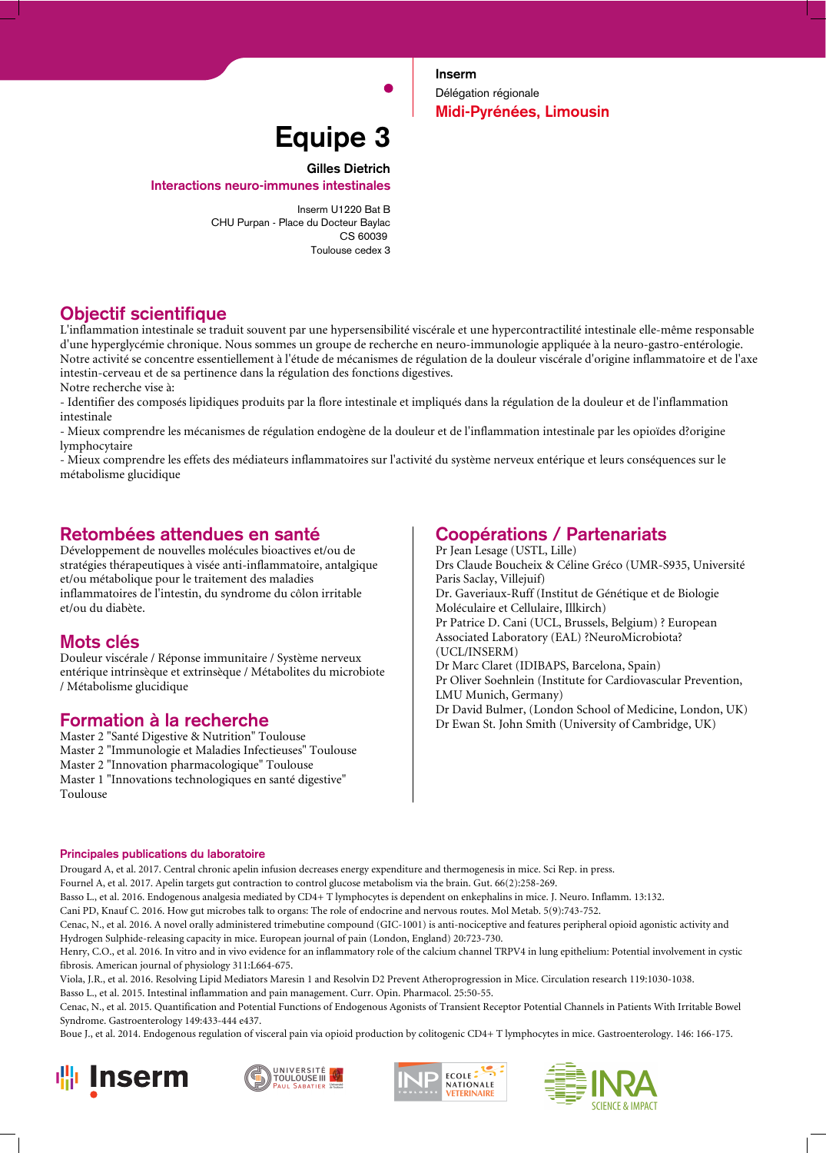**Inserm** Délégation régionale **Midi-Pyrénées, Limousin**

# **Equipe 3**

**Gilles Dietrich**

**Interactions neuro-immunes intestinales**

Inserm U1220 Bat B CHU Purpan - Place du Docteur Baylac CS 60039 Toulouse cedex 3

# **Objectif scientifique**

L'inflammation intestinale se traduit souvent par une hypersensibilité viscérale et une hypercontractilité intestinale elle-même responsable d'une hyperglycémie chronique. Nous sommes un groupe de recherche en neuro-immunologie appliquée à la neuro-gastro-entérologie. Notre activité se concentre essentiellement à l'étude de mécanismes de régulation de la douleur viscérale d'origine inflammatoire et de l'axe intestin-cerveau et de sa pertinence dans la régulation des fonctions digestives.

Notre recherche vise à:

- Identifier des composés lipidiques produits par la flore intestinale et impliqués dans la régulation de la douleur et de l'inflammation intestinale

- Mieux comprendre les mécanismes de régulation endogène de la douleur et de l'inflammation intestinale par les opioïdes d?origine lymphocytaire

- Mieux comprendre les effets des médiateurs inflammatoires sur l'activité du système nerveux entérique et leurs conséquences sur le métabolisme glucidique

### **Retombées attendues en santé**

Développement de nouvelles molécules bioactives et/ou de stratégies thérapeutiques à visée anti-inflammatoire, antalgique et/ou métabolique pour le traitement des maladies inflammatoires de l'intestin, du syndrome du côlon irritable et/ou du diabète.

# **Mots clés**

Douleur viscérale / Réponse immunitaire / Système nerveux entérique intrinsèque et extrinsèque / Métabolites du microbiote / Métabolisme glucidique

# **Formation à la recherche**

Master 2 "Santé Digestive & Nutrition" Toulouse Master 2 "Immunologie et Maladies Infectieuses" Toulouse Master 2 "Innovation pharmacologique" Toulouse Master 1 "Innovations technologiques en santé digestive" Toulouse

# **Coopérations / Partenariats**

Pr Jean Lesage (USTL, Lille) Drs Claude Boucheix & Céline Gréco (UMR-S935, Université Paris Saclay, Villejuif) Dr. Gaveriaux-Ruff (Institut de Génétique et de Biologie Moléculaire et Cellulaire, Illkirch) Pr Patrice D. Cani (UCL, Brussels, Belgium) ? European Associated Laboratory (EAL) ?NeuroMicrobiota? (UCL/INSERM) Dr Marc Claret (IDIBAPS, Barcelona, Spain) Pr Oliver Soehnlein (Institute for Cardiovascular Prevention, LMU Munich, Germany) Dr David Bulmer, (London School of Medicine, London, UK) Dr Ewan St. John Smith (University of Cambridge, UK)

#### **Principales publications du laboratoire**

Drougard A, et al. 2017. Central chronic apelin infusion decreases energy expenditure and thermogenesis in mice. Sci Rep. in press.

Fournel A, et al. 2017. Apelin targets gut contraction to control glucose metabolism via the brain. Gut. 66(2):258-269.

Basso L., et al. 2016. Endogenous analgesia mediated by CD4+ T lymphocytes is dependent on enkephalins in mice. J. Neuro. Inflamm. 13:132.

Cani PD, Knauf C. 2016. How gut microbes talk to organs: The role of endocrine and nervous routes. Mol Metab. 5(9):743-752.

Cenac, N., et al. 2016. A novel orally administered trimebutine compound (GIC-1001) is anti-nociceptive and features peripheral opioid agonistic activity and Hydrogen Sulphide-releasing capacity in mice. European journal of pain (London, England) 20:723-730.

Henry, C.O., et al. 2016. In vitro and in vivo evidence for an inflammatory role of the calcium channel TRPV4 in lung epithelium: Potential involvement in cystic fibrosis. American journal of physiology 311:L664-675.

Viola, J.R., et al. 2016. Resolving Lipid Mediators Maresin 1 and Resolvin D2 Prevent Atheroprogression in Mice. Circulation research 119:1030-1038.

Basso L., et al. 2015. Intestinal inflammation and pain management. Curr. Opin. Pharmacol. 25:50-55.

Cenac, N., et al. 2015. Quantification and Potential Functions of Endogenous Agonists of Transient Receptor Potential Channels in Patients With Irritable Bowel Syndrome. Gastroenterology 149:433-444 e437.

Boue J., et al. 2014. Endogenous regulation of visceral pain via opioid production by colitogenic CD4+ T lymphocytes in mice. Gastroenterology. 146: 166-175.